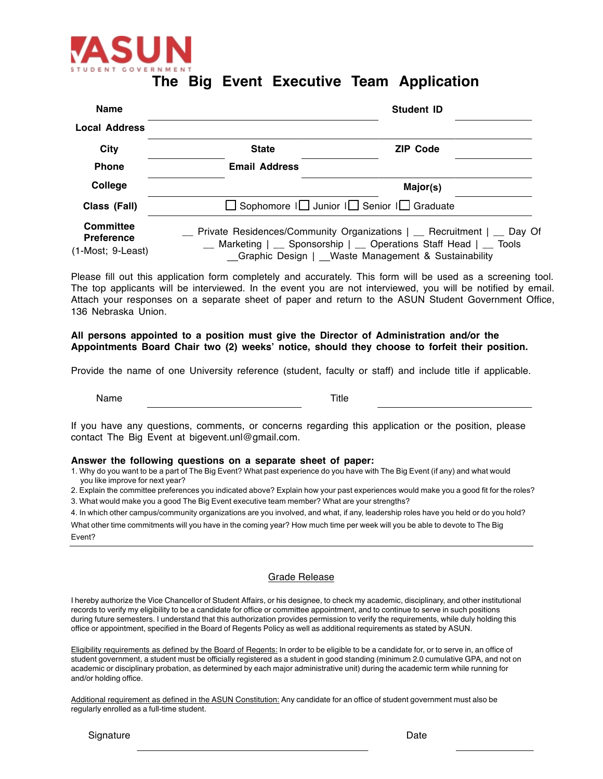

## **The Big Event Executive Team Application**

| <b>Name</b>                                         |                                                                                                                                                                                                 | <b>Student ID</b> |
|-----------------------------------------------------|-------------------------------------------------------------------------------------------------------------------------------------------------------------------------------------------------|-------------------|
| <b>Local Address</b>                                |                                                                                                                                                                                                 |                   |
| <b>City</b>                                         | <b>State</b>                                                                                                                                                                                    | <b>ZIP Code</b>   |
| <b>Phone</b>                                        | <b>Email Address</b>                                                                                                                                                                            |                   |
| College                                             |                                                                                                                                                                                                 | Major(s)          |
| Class (Fall)                                        | $\Box$ Sophomore $\Box$ Junior $\Box$ Senior $\Box$ Graduate                                                                                                                                    |                   |
| Committee<br><b>Preference</b><br>(1-Most; 9-Least) | Private Residences/Community Organizations   _ Recruitment   _ Day Of<br>Marketing   __ Sponsorship   __ Operations Staff Head   __ Tools<br>Graphic Design   Waste Management & Sustainability |                   |

Please fill out this application form completely and accurately. This form will be used as a screening tool. The top applicants will be interviewed. In the event you are not interviewed, you will be notified by email. Attach your responses on a separate sheet of paper and return to the ASUN Student Government Office, 136 Nebraska Union.

### **All persons appointed to a position must give the Director of Administration and/or the Appointments Board Chair two (2) weeks' notice, should they choose to forfeit their position.**

Provide the name of one University reference (student, faculty or staff) and include title if applicable.

Name Title

If you have any questions, comments, or concerns regarding this application or the position, please contact The Big Event at bigevent.unl@gmail.com.

#### **Answer the following questions on a separate sheet of paper:**

1. Why do you want to be a part of The Big Event? What past experience do you have with The Big Event (if any) and what would you like improve for next year?

2. Explain the committee preferences you indicated above? Explain how your past experiences would make you a good fit for the roles?

3. What would make you a good The Big Event executive team member? What are your strengths?

4. In which other campus/community organizations are you involved, and what, if any, leadership roles have you held or do you hold?

What other time commitments will you have in the coming year? How much time per week will you be able to devote to The Big Event?

#### Grade Release

I hereby authorize the Vice Chancellor of Student Affairs, or his designee, to check my academic, disciplinary, and other institutional records to verify my eligibility to be a candidate for office or committee appointment, and to continue to serve in such positions during future semesters. I understand that this authorization provides permission to verify the requirements, while duly holding this office or appointment, specified in the Board of Regents Policy as well as additional requirements as stated by ASUN.

Eligibility requirements as defined by the Board of Regents: In order to be eligible to be a candidate for, or to serve in, an office of student government, a student must be officially registered as a student in good standing (minimum 2.0 cumulative GPA, and not on academic or disciplinary probation, as determined by each major administrative unit) during the academic term while running for and/or holding office.

Additional requirement as defined in the ASUN Constitution: Any candidate for an office of student government must also be regularly enrolled as a full-time student.

Signature Date **Date**